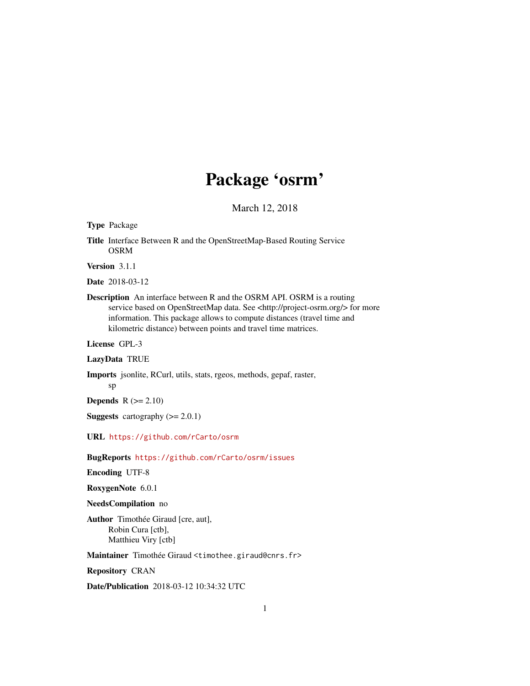## Package 'osrm'

March 12, 2018

Type Package

Title Interface Between R and the OpenStreetMap-Based Routing Service OSRM

Version 3.1.1

Date 2018-03-12

Description An interface between R and the OSRM API. OSRM is a routing service based on OpenStreetMap data. See <http://project-osrm.org/> for more information. This package allows to compute distances (travel time and kilometric distance) between points and travel time matrices.

License GPL-3

LazyData TRUE

Imports jsonlite, RCurl, utils, stats, rgeos, methods, gepaf, raster, sp

Depends  $R$  ( $>= 2.10$ )

**Suggests** cartography  $(>= 2.0.1)$ 

URL <https://github.com/rCarto/osrm>

BugReports <https://github.com/rCarto/osrm/issues>

Encoding UTF-8

RoxygenNote 6.0.1

NeedsCompilation no

Author Timothée Giraud [cre, aut], Robin Cura [ctb], Matthieu Viry [ctb]

Maintainer Timothée Giraud <timothee.giraud@cnrs.fr>

Repository CRAN

Date/Publication 2018-03-12 10:34:32 UTC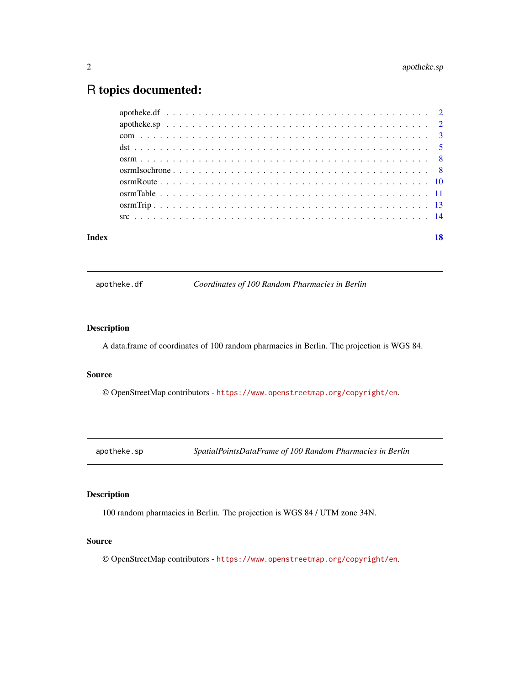### <span id="page-1-0"></span>R topics documented:

| Index | 18 |
|-------|----|
|       |    |
|       |    |
|       |    |
|       |    |
|       |    |
|       |    |
|       |    |
|       |    |
|       |    |
|       |    |

apotheke.df *Coordinates of 100 Random Pharmacies in Berlin*

#### Description

A data.frame of coordinates of 100 random pharmacies in Berlin. The projection is WGS 84.

#### Source

© OpenStreetMap contributors - <https://www.openstreetmap.org/copyright/en>.

apotheke.sp *SpatialPointsDataFrame of 100 Random Pharmacies in Berlin*

#### Description

100 random pharmacies in Berlin. The projection is WGS 84 / UTM zone 34N.

#### Source

© OpenStreetMap contributors - <https://www.openstreetmap.org/copyright/en>.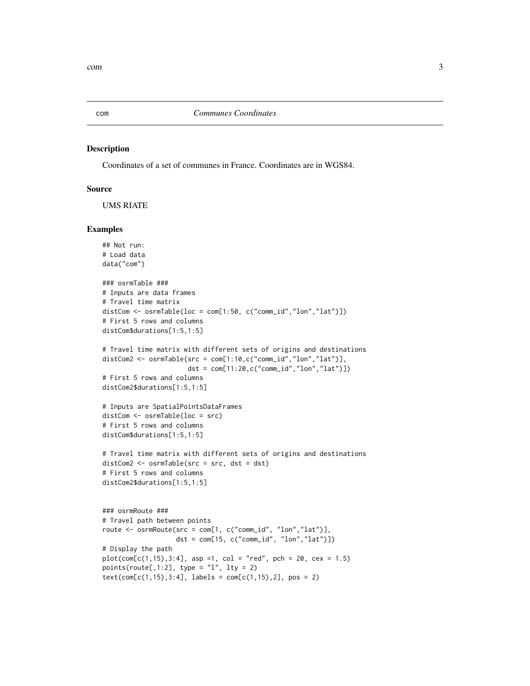<span id="page-2-0"></span>

#### Description

Coordinates of a set of communes in France. Coordinates are in WGS84.

#### Source

UMS RIATE

```
## Not run:
# Load data
data("com")
### osrmTable ###
# Inputs are data frames
# Travel time matrix
distCom \leq osrmTable(loc = com[1:50, c("comm_id","lon","lat")])
# First 5 rows and columns
distCom$durations[1:5,1:5]
# Travel time matrix with different sets of origins and destinations
distCom2 <- osrmTable(src = com[1:10,c("comm_id","lon","lat")],
                      dst = com[11:20,c("comm_id","lon","lat")])
# First 5 rows and columns
distCom2$durations[1:5,1:5]
# Inputs are SpatialPointsDataFrames
distCom <- osrmTable(loc = src)
# First 5 rows and columns
distCom$durations[1:5,1:5]
# Travel time matrix with different sets of origins and destinations
distCom2 <- osrmTable(src = src, dst = dst)
# First 5 rows and columns
distCom2$durations[1:5,1:5]
### osrmRoute ###
# Travel path between points
route \leq osrmRoute(src = com[1, c("comm_id", "lon","lat")],
                   dst = com[15, c("comm_id", "lon","lat")])
# Display the path
plot(com[c(1, 15), 3:4], asp =1, col = "red", pch = 20, cex = 1.5)
points(route[,1:2], type = "l", lty = 2)
text(com[c(1,15),3:4], labels = com[c(1,15),2], pos = 2)
```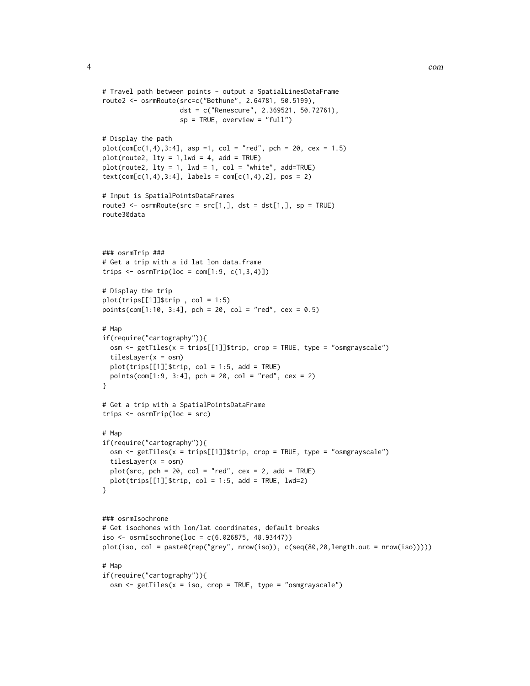```
# Travel path between points - output a SpatialLinesDataFrame
route2 <- osrmRoute(src=c("Bethune", 2.64781, 50.5199),
                    dst = c("Renescure", 2.369521, 50.72761),
                    sp = TRUE, overview = "full")# Display the path
plot(com[c(1,4),3:4], asp =1, col = "red", pch = 20, cex = 1.5)
plot(root2, 1ty = 1, 1wd = 4, add = TRUE)plot(route2, lty = 1, lwd = 1, col = "white", add=True()text(com[c(1,4),3:4], labels = com[c(1,4),2], pos = 2)# Input is SpatialPointsDataFrames
route3 <- osrmRoute(src = src[1,], \, dst = dst[1,], \, sp = TRUE)route3@data
### osrmTrip ###
# Get a trip with a id lat lon data.frame
trips \leq osrmTrip(loc = com[1:9, c(1,3,4)])
# Display the trip
plot(trips[[1]]$trip , col = 1:5)
points(com[1:10, 3:4], pch = 20, col = "red", cex = 0.5)
# Map
if(require("cartography")){
  osm <- getTiles(x = trips[[1]]$trip, crop = TRUE, type = "osmgrayscale")
  tilesLayer(x = osm)
  plot(trips[[1]]$trip, col = 1:5, add = TRUE)
  points(com[1:9, 3:4], pch = 20, col = "red", cex = 2)}
# Get a trip with a SpatialPointsDataFrame
trips <- osrmTrip(loc = src)
# Man
if(require("cartography")){
  osm <- getTiles(x = trips[[1]]$trip, crop = TRUE, type = "osmgrayscale")
  tilesLayer(x = osm)
  plot(src, pch = 20, col = "red", cex = 2, add = TRUE)plot(trips[[1]]$trip, col = 1:5, add = TRUE, lwd=2)
}
### osrmIsochrone
# Get isochones with lon/lat coordinates, default breaks
iso <- osrmIsochrone(loc = c(6.026875, 48.93447))
plot(iso, col = paste0(rep("grey", nrow(iso)), c(seq(80,20,length.out = nrow(iso)))))
# Map
if(require("cartography")){
  osm \le getTiles(x = iso, crop = TRUE, type = "osmgrayscale")
```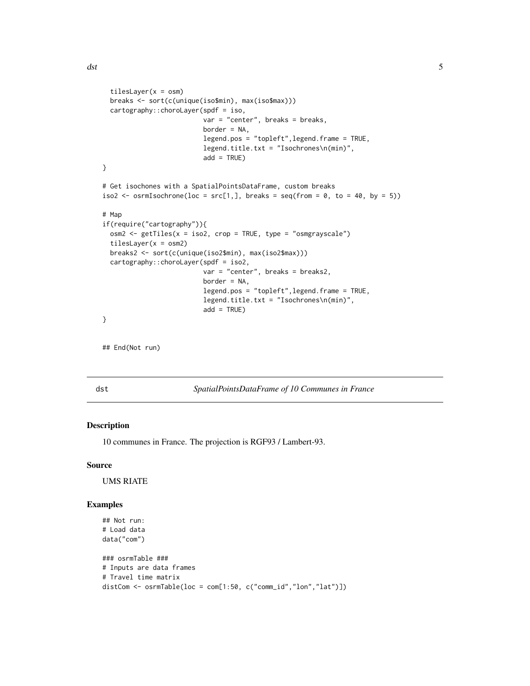```
tilesLayer(x = osm)
  breaks <- sort(c(unique(iso$min), max(iso$max)))
  cartography::choroLayer(spdf = iso,
                          var = "center", breaks = breaks,
                          border = NA,
                          legend.pos = "topleft",legend.frame = TRUE,
                          legend.title.txt = "Isochrones\n(min)",
                          add = TRUE)
}
# Get isochones with a SpatialPointsDataFrame, custom breaks
iso2 <- osrmIsochrone(loc = src[1,], breaks = seq(from = 0, to = 40, by = 5))
# Map
if(require("cartography")){
  osm2 \leq-getTiles(x = iso2, crop = TRUE, type = "osmgrayscale")tilesLayer(x = osm2)
  breaks2 <- sort(c(unique(iso2$min), max(iso2$max)))
  cartography::choroLayer(spdf = iso2,
                          var = "center", breaks = breaks2,
                          border = NA,
                          legend.pos = "topleft",legend.frame = TRUE,
                          legend.title.txt = "Isochrones\n(min)",
                          add = TRUE)
}
```

```
## End(Not run)
```
dst *SpatialPointsDataFrame of 10 Communes in France*

#### Description

10 communes in France. The projection is RGF93 / Lambert-93.

#### Source

UMS RIATE

```
## Not run:
# Load data
data("com")
### osrmTable ###
# Inputs are data frames
# Travel time matrix
distCom <- osrmTable(loc = com[1:50, c("comm_id","lon","lat")])
```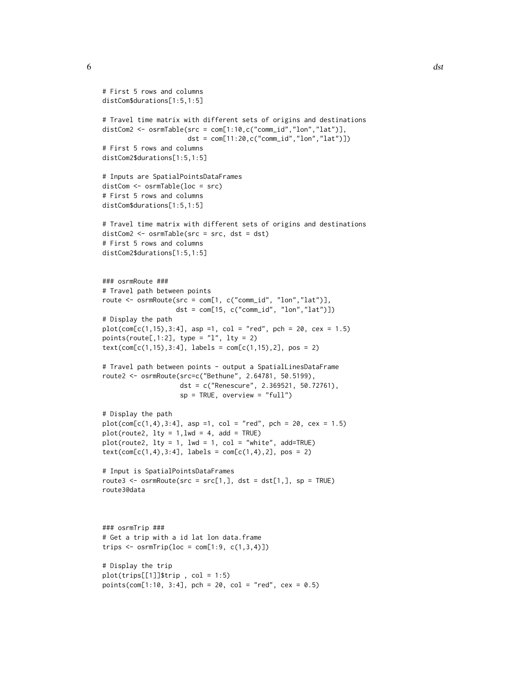```
# First 5 rows and columns
distCom$durations[1:5,1:5]
# Travel time matrix with different sets of origins and destinations
distCom2 <- osrmTable(src = com[1:10,c("comm_id","lon","lat")],
                      dst = com[11:20,c("comm_id","lon","lat")])
# First 5 rows and columns
distCom2$durations[1:5,1:5]
# Inputs are SpatialPointsDataFrames
distCom <- osrmTable(loc = src)
# First 5 rows and columns
distCom$durations[1:5,1:5]
# Travel time matrix with different sets of origins and destinations
distCom2 <- osrmTable(src = src, dst = dst)
# First 5 rows and columns
distCom2$durations[1:5,1:5]
### osrmRoute ###
# Travel path between points
route <- osrmRoute(src = com[1, c("comm_id", "lon","lat")],
                   dst = com[15, c("comm_id", "lon","lat")])
# Display the path
plot(com[c(1, 15), 3:4], asp =1, col = "red", pch = 20, cex = 1.5)
points(route[,1:2], type = "l", lty = 2)
text(com[c(1,15),3:4], labels = com[c(1,15),2], pos = 2)# Travel path between points - output a SpatialLinesDataFrame
route2 <- osrmRoute(src=c("Bethune", 2.64781, 50.5199),
                    dst = c("Renescure", 2.369521, 50.72761),
                    sp = TRUE, overview = "full")# Display the path
plot(com[c(1,4),3:4], asp =1, col = "red", pch = 20, cex = 1.5)
plot(root2, 1ty = 1, 1wd = 4, add = TRUE)plot(root2, 1ty = 1, 1wd = 1, col = "white", add=True)text(com[c(1,4),3:4], labels = com[c(1,4),2], pos = 2)# Input is SpatialPointsDataFrames
route3 <- osrmRoute(src = src[1,], dist = dst[1,], sp = TRUE)route3@data
### osrmTrip ###
# Get a trip with a id lat lon data.frame
trips \leq osrm\text{Trip}(\text{loc} = \text{com}[1:9, c(1,3,4)])# Display the trip
plot(trips[[1]]$trip , col = 1:5)
points(com[1:10, 3:4], pch = 20, col = "red", cex = 0.5)
```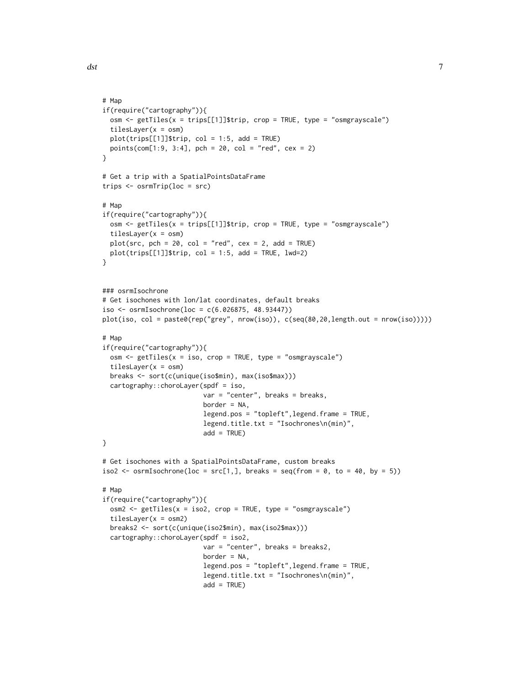```
# Map
if(require("cartography")){
  osm <- getTiles(x = trips[[1]]$trip, crop = TRUE, type = "osmgrayscale")
  tilesLayer(x = osm)
  plot(trips[[1]]$trip, col = 1:5, add = TRUE)
  points(com[1:9, 3:4], pch = 20, col = "red", cex = 2)}
# Get a trip with a SpatialPointsDataFrame
trips <- osrmTrip(loc = src)
# Map
if(require("cartography")){
  osm <- getTiles(x = trips[[1]]$trip, crop = TRUE, type = "osmgrayscale")
  tilesLayer(x = osm)
  plot(src, pch = 20, col = "red", cex = 2, add = TRUE)plot(trips[[1]]$trip, col = 1:5, add = TRUE, lwd=2)
}
### osrmIsochrone
# Get isochones with lon/lat coordinates, default breaks
iso <- osrmIsochrone(loc = c(6.026875, 48.93447))
plot(iso, col = paste0(rep("grey", nrow(iso)), c(seq(80,20,length.out = nrow(iso)))))
# Map
if(require("cartography")){
  osm <- getTiles(x = iso, crop = TRUE, type = "osmgrayscale")
  tilesLayer(x = osm)
  breaks <- sort(c(unique(iso$min), max(iso$max)))
  cartography::choroLayer(spdf = iso,
                          var = "center", breaks = breaks,
                          border = NA,
                          legend.pos = "topleft",legend.frame = TRUE,
                          legend.title.txt = "Isochrones\n(min)",
                          add = TRUE)
}
# Get isochones with a SpatialPointsDataFrame, custom breaks
iso2 <- osrmIsochrone(loc = src[1,], breaks = seq(from = 0, to = 40, by = 5))
# Map
if(require("cartography")){
  osm2 \leq-getTiles(x = iso2, crop = TRUE, type = "osmgrayscale")tilesLayer(x = osm2)
  breaks2 <- sort(c(unique(iso2$min), max(iso2$max)))
  cartography::choroLayer(spdf = iso2,
                          var = "center", breaks = breaks2,
                          border = NA,
                          legend.pos = "topleft",legend.frame = TRUE,
                          legend.title.txt = "Isochrones\n(min)",
                          add = TRUE)
```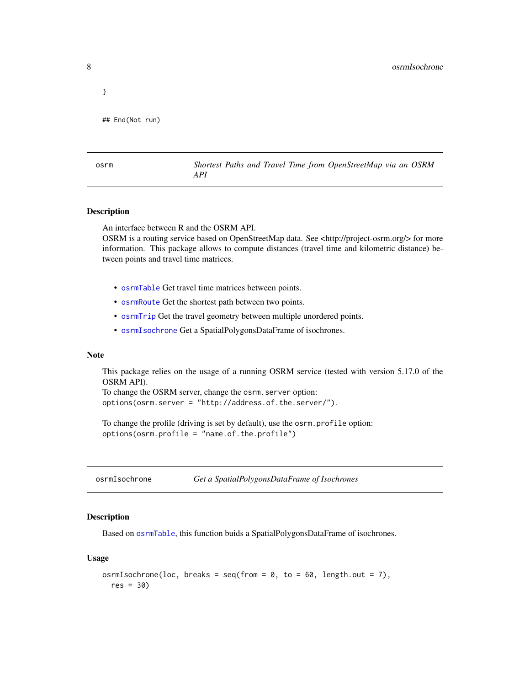<span id="page-7-0"></span>}

```
## End(Not run)
```
osrm *Shortest Paths and Travel Time from OpenStreetMap via an OSRM API*

#### Description

An interface between R and the OSRM API.

OSRM is a routing service based on OpenStreetMap data. See <http://project-osrm.org/> for more information. This package allows to compute distances (travel time and kilometric distance) between points and travel time matrices.

- [osrmTable](#page-10-1) Get travel time matrices between points.
- [osrmRoute](#page-9-1) Get the shortest path between two points.
- [osrmTrip](#page-12-1) Get the travel geometry between multiple unordered points.
- [osrmIsochrone](#page-7-1) Get a SpatialPolygonsDataFrame of isochrones.

#### Note

This package relies on the usage of a running OSRM service (tested with version 5.17.0 of the OSRM API).

To change the OSRM server, change the osrm.server option: options(osrm.server = "http://address.of.the.server/").

To change the profile (driving is set by default), use the osrm.profile option: options(osrm.profile = "name.of.the.profile")

<span id="page-7-1"></span>osrmIsochrone *Get a SpatialPolygonsDataFrame of Isochrones*

#### Description

Based on [osrmTable](#page-10-1), this function buids a SpatialPolygonsDataFrame of isochrones.

#### Usage

```
osrmIsochrone(loc, breaks = seq(from = 0, to = 60, length.out = 7),
  res = 30)
```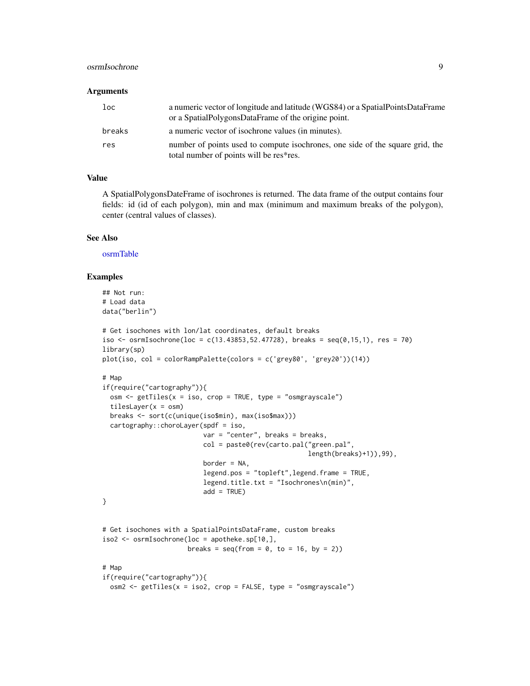#### <span id="page-8-0"></span>osrmIsochrone 9

#### **Arguments**

| loc    | a numeric vector of longitude and latitude (WGS84) or a Spatial Points Data Frame<br>or a SpatialPolygonsDataFrame of the origine point. |
|--------|------------------------------------------------------------------------------------------------------------------------------------------|
| breaks | a numeric vector of isochrone values (in minutes).                                                                                       |
| res    | number of points used to compute isochrones, one side of the square grid, the<br>total number of points will be res*res.                 |

#### Value

A SpatialPolygonsDateFrame of isochrones is returned. The data frame of the output contains four fields: id (id of each polygon), min and max (minimum and maximum breaks of the polygon), center (central values of classes).

#### See Also

[osrmTable](#page-10-1)

```
## Not run:
# Load data
data("berlin")
# Get isochones with lon/lat coordinates, default breaks
iso <- osrmIsochrone(loc = c(13.43853,52.47728), breaks = seq(0, 15, 1), res = 70)
library(sp)
plot(iso, col = colorRampPalette(colors = c('grey80', 'grey20'))(14))
# Map
if(require("cartography")){
  osm \le getTiles(x = iso, crop = TRUE, type = "osmgrayscale")
  tilesLayer(x = osm)
  breaks <- sort(c(unique(iso$min), max(iso$max)))
  cartography::choroLayer(spdf = iso,
                          var = "center", breaks = breaks,col = paste0(rev(carto.pal("green.pal",
                                                     length(breaks)+1)),99),
                          border = NA,
                          legend.pos = "topleft",legend.frame = TRUE,
                          legend.title.txt = "Isochrones\n(min)",
                          add = TRUE)
}
# Get isochones with a SpatialPointsDataFrame, custom breaks
iso2 <- osrmIsochrone(loc = apotheke.sp[10,],
                      breaks = seq(from = 0, to = 16, by = 2)# Map
if(require("cartography")){
  osm2 <- getTiles(x = iso2, crop = FALSE, type = "osmgrayscale")
```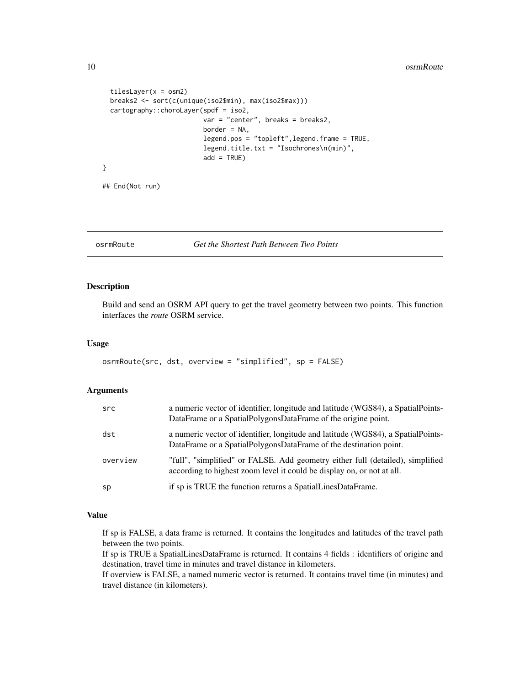```
tileslayer(x = osm2)breaks2 <- sort(c(unique(iso2$min), max(iso2$max)))
 cartography::choroLayer(spdf = iso2,
                          var = "center", breaks = breaks2,
                          border = NA,
                          legend.pos = "topleft",legend.frame = TRUE,
                          legend.title.txt = "Isochrones\n(min)",
                          add = TRUE)
}
```
## End(Not run)

<span id="page-9-1"></span>osrmRoute *Get the Shortest Path Between Two Points*

#### Description

Build and send an OSRM API query to get the travel geometry between two points. This function interfaces the *route* OSRM service.

#### Usage

```
osrmRoute(src, dst, overview = "simplified", sp = FALSE)
```
#### Arguments

| src      | a numeric vector of identifier, longitude and latitude (WGS84), a SpatialPoints-<br>DataFrame or a SpatialPolygonsDataFrame of the origine point.        |
|----------|----------------------------------------------------------------------------------------------------------------------------------------------------------|
| dst      | a numeric vector of identifier, longitude and latitude (WGS84), a SpatialPoints-<br>DataFrame or a SpatialPolygonsDataFrame of the destination point.    |
| overview | "full", "simplified" or FALSE. Add geometry either full (detailed), simplified<br>according to highest zoom level it could be display on, or not at all. |
| sp       | if sp is TRUE the function returns a SpatialLinesDataFrame.                                                                                              |

#### Value

If sp is FALSE, a data frame is returned. It contains the longitudes and latitudes of the travel path between the two points.

If sp is TRUE a SpatialLinesDataFrame is returned. It contains 4 fields : identifiers of origine and destination, travel time in minutes and travel distance in kilometers.

If overview is FALSE, a named numeric vector is returned. It contains travel time (in minutes) and travel distance (in kilometers).

<span id="page-9-0"></span>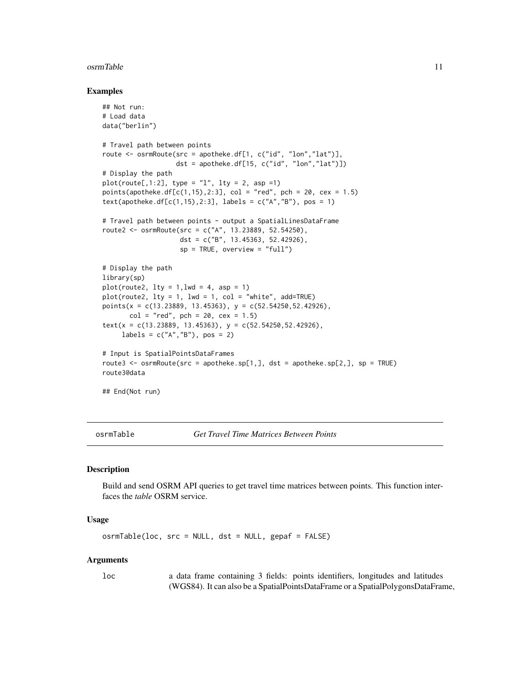#### <span id="page-10-0"></span>osrmTable 11

#### Examples

```
## Not run:
# Load data
data("berlin")
# Travel path between points
route <- osrmRoute(src = apotheke.df[1, c("id", "lon","lat")],
                   dst = apotheke.df[15, c("id", "lon","lat")])
# Display the path
plot(root[,1:2], type = "1", lty = 2, asp = 1)points(apotheke.df[c(1,15),2:3], col = "red", pch = 20, cex = 1.5)text(apotheke.df[c(1,15),2:3], labels = c("A", "B"), pos = 1)
# Travel path between points - output a SpatialLinesDataFrame
route2 <- osrmRoute(src = c("A", 13.23889, 52.54250),
                    dst = c("B", 13.45363, 52.42926),
                    sp = TRUE, overview = "full")
# Display the path
library(sp)
plot(root2, 1ty = 1, 1wd = 4, asp = 1)plot(root2, lty = 1, lwd = 1, col = "white", add=True)points(x = c(13.23889, 13.45363), y = c(52.54250, 52.42926),
       col = "red", \text{ pch} = 20, \text{ cex} = 1.5)text(x = c(13.23889, 13.45363), y = c(52.54250, 52.42926),labels = c("A", "B"), pos = 2)# Input is SpatialPointsDataFrames
route3 \leq osrmRoute(src = apotheke.sp[1,], dst = apotheke.sp[2,], sp = TRUE)
route3@data
## End(Not run)
```
<span id="page-10-1"></span>osrmTable *Get Travel Time Matrices Between Points*

#### Description

Build and send OSRM API queries to get travel time matrices between points. This function interfaces the *table* OSRM service.

#### Usage

osrmTable(loc, src = NULL, dst = NULL, gepaf = FALSE)

#### Arguments

loc a data frame containing 3 fields: points identifiers, longitudes and latitudes (WGS84). It can also be a SpatialPointsDataFrame or a SpatialPolygonsDataFrame,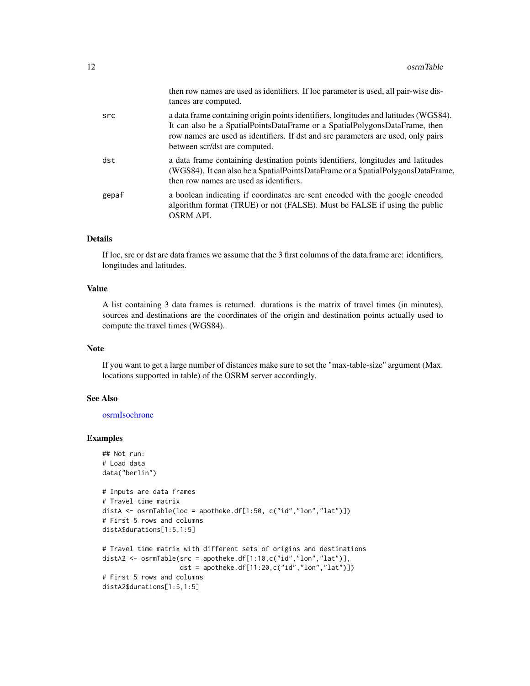<span id="page-11-0"></span>

|       | then row names are used as identifiers. If loc parameter is used, all pair-wise dis-<br>tances are computed.                                                                                                                                                                              |
|-------|-------------------------------------------------------------------------------------------------------------------------------------------------------------------------------------------------------------------------------------------------------------------------------------------|
| src   | a data frame containing origin points identifiers, longitudes and latitudes (WGS84).<br>It can also be a SpatialPointsDataFrame or a SpatialPolygonsDataFrame, then<br>row names are used as identifiers. If dst and src parameters are used, only pairs<br>between scr/dst are computed. |
| dst   | a data frame containing destination points identifiers, longitudes and latitudes<br>(WGS84). It can also be a SpatialPointsDataFrame or a SpatialPolygonsDataFrame,<br>then row names are used as identifiers.                                                                            |
| gepaf | a boolean indicating if coordinates are sent encoded with the google encoded<br>algorithm format (TRUE) or not (FALSE). Must be FALSE if using the public<br><b>OSRM API.</b>                                                                                                             |

#### Details

If loc, src or dst are data frames we assume that the 3 first columns of the data.frame are: identifiers, longitudes and latitudes.

#### Value

A list containing 3 data frames is returned. durations is the matrix of travel times (in minutes), sources and destinations are the coordinates of the origin and destination points actually used to compute the travel times (WGS84).

#### Note

If you want to get a large number of distances make sure to set the "max-table-size" argument (Max. locations supported in table) of the OSRM server accordingly.

#### See Also

#### [osrmIsochrone](#page-7-1)

```
## Not run:
# Load data
data("berlin")
# Inputs are data frames
# Travel time matrix
distA <- osrmTable(loc = apotheke.df[1:50, c("id","lon","lat")])
# First 5 rows and columns
distA$durations[1:5,1:5]
# Travel time matrix with different sets of origins and destinations
distA2 <- osrmTable(src = apotheke.df[1:10,c("id","lon","lat")],
                    dst = apotheke.df[11:20,c("id","lon","lat")])
# First 5 rows and columns
distA2$durations[1:5,1:5]
```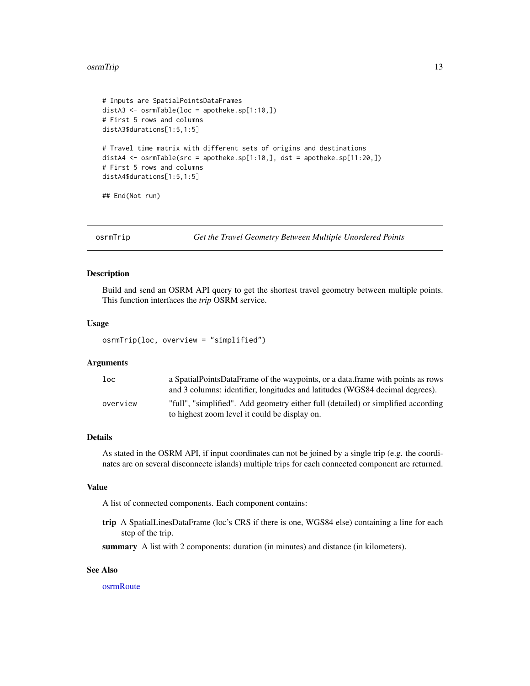#### <span id="page-12-0"></span>osrmTrip 13

```
# Inputs are SpatialPointsDataFrames
distA3 <- osrmTable(loc = apotheke.sp[1:10,])
# First 5 rows and columns
distA3$durations[1:5,1:5]
# Travel time matrix with different sets of origins and destinations
distA4 <- osrmTable(src = apotheke.sp[1:10,], dst = apotheke.sp[11:20,])
# First 5 rows and columns
distA4$durations[1:5,1:5]
## End(Not run)
```
<span id="page-12-1"></span>

osrmTrip *Get the Travel Geometry Between Multiple Unordered Points*

#### Description

Build and send an OSRM API query to get the shortest travel geometry between multiple points. This function interfaces the *trip* OSRM service.

#### Usage

osrmTrip(loc, overview = "simplified")

#### **Arguments**

| loc <sub>1</sub> | a Spatial Points Data Frame of the waypoints, or a data frame with points as rows<br>and 3 columns: identifier, longitudes and latitudes (WGS84 decimal degrees). |
|------------------|-------------------------------------------------------------------------------------------------------------------------------------------------------------------|
| overview         | "full", "simplified". Add geometry either full (detailed) or simplified according<br>to highest zoom level it could be display on.                                |

#### Details

As stated in the OSRM API, if input coordinates can not be joined by a single trip (e.g. the coordinates are on several disconnecte islands) multiple trips for each connected component are returned.

#### Value

A list of connected components. Each component contains:

trip A SpatialLinesDataFrame (loc's CRS if there is one, WGS84 else) containing a line for each step of the trip.

summary A list with 2 components: duration (in minutes) and distance (in kilometers).

#### See Also

[osrmRoute](#page-9-1)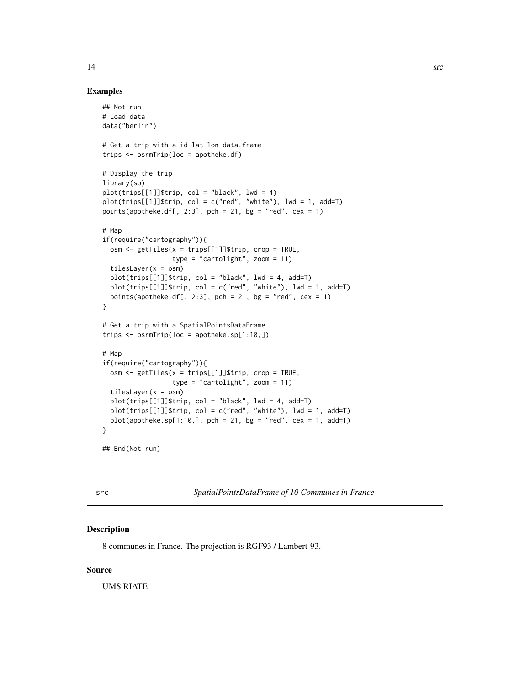#### <span id="page-13-0"></span>Examples

```
## Not run:
# Load data
data("berlin")
# Get a trip with a id lat lon data.frame
trips <- osrmTrip(loc = apotheke.df)
# Display the trip
library(sp)
plot(trips[[1]]$trip, col = "black", lwd = 4)
plot(trips[[1]]$trip, col = c("red", "white"), lwd = 1, add=T)
points(apotheke.df[, 2:3], pch = 21, bg = "red", cex = 1)
# Map
if(require("cartography")){
  osm \le getTiles(x = trips[[1]]$trip, crop = TRUE,
                  type = "cartolight", zoom = 11)
  tilesLayer(x = osm)
  plot(trips[[1]]$trip, col = "black", lwd = 4, add=T)
  plot(trips[[1]]$trip, col = c("red", "white"), lwd = 1, add=T)points(apotheke.df[, 2:3], pch = 21, bg = "red", cex = 1)
}
# Get a trip with a SpatialPointsDataFrame
trips <- osrmTrip(loc = apotheke.sp[1:10,])
# Map
if(require("cartography")){
  osm <- getTiles(x = trips[[1]]$trip, crop = TRUE,
                  type = "cartolight", zoom = 11)
  tilesLayer(x = osm)
  plot(trips[[1]]$trip, col = "black", lwd = 4, add=T)
  plot(trips[[1]]$trip, col = c("red", "white"), lwd = 1, add=T)plot(apotheke.split:10,], pch = 21, bg = "red", cex = 1, add=T)}
## End(Not run)
```
src *SpatialPointsDataFrame of 10 Communes in France*

#### Description

8 communes in France. The projection is RGF93 / Lambert-93.

#### Source

UMS RIATE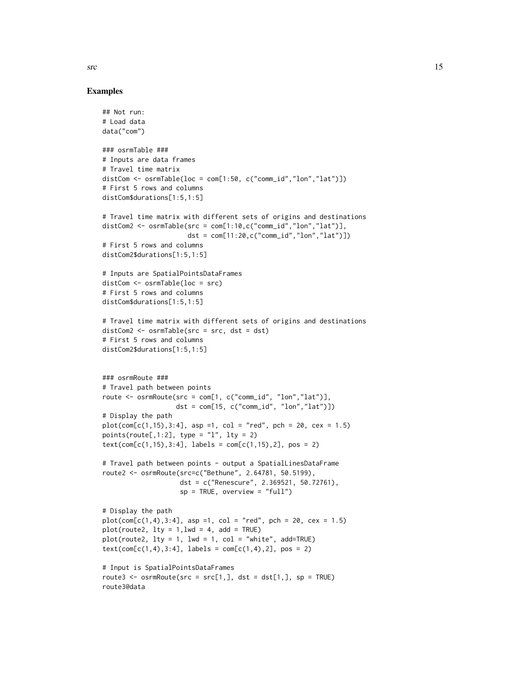Examples

```
## Not run:
# Load data
data("com")
### osrmTable ###
# Inputs are data frames
# Travel time matrix
distCom \leq osrmTable(loc = com[1:50, c("comm_id","lon","lat")])
# First 5 rows and columns
distCom$durations[1:5,1:5]
# Travel time matrix with different sets of origins and destinations
distCom2 <- osrmTable(src = com[1:10,c("comm_id","lon","lat")],
                      dst = com[11:20, c("comm_id", "lon", "lat")])# First 5 rows and columns
distCom2$durations[1:5,1:5]
# Inputs are SpatialPointsDataFrames
distCom <- osrmTable(loc = src)
# First 5 rows and columns
distCom$durations[1:5,1:5]
# Travel time matrix with different sets of origins and destinations
distCom2 <- osrmTable(src = src, dst = dst)
# First 5 rows and columns
distCom2$durations[1:5,1:5]
### osrmRoute ###
# Travel path between points
route <- osrmRoute(src = com[1, c("comm_id", "lon","lat")],
                   dst = com[15, c("comm_id", "lon","lat")])
# Display the path
plot(com[c(1, 15), 3:4], asp =1, col = "red", pch = 20, cex = 1.5)
points(root = [1:2], type = "l", lty = 2)text(com[c(1,15),3:4], labels = com[c(1,15),2], pos = 2)# Travel path between points - output a SpatialLinesDataFrame
route2 <- osrmRoute(src=c("Bethune", 2.64781, 50.5199),
                    dst = c("Renescure", 2.369521, 50.72761),
                    sp = TRUE, overview = "full")
# Display the path
plot(com[c(1,4),3:4], asp =1, col = "red", pch = 20, cex = 1.5)
plot(root2, 1ty = 1, 1wd = 4, add = TRUE)plot(root, 1ty = 1, 1wd = 1, col = "white", add=True)text(com[c(1,4),3:4], labels = com[c(1,4),2], pos = 2)# Input is SpatialPointsDataFrames
route3 <- osrmRoute(src = src[1,], \, dst = dst[1,], \, sp = TRUE)route3@data
```
 $\frac{15}{15}$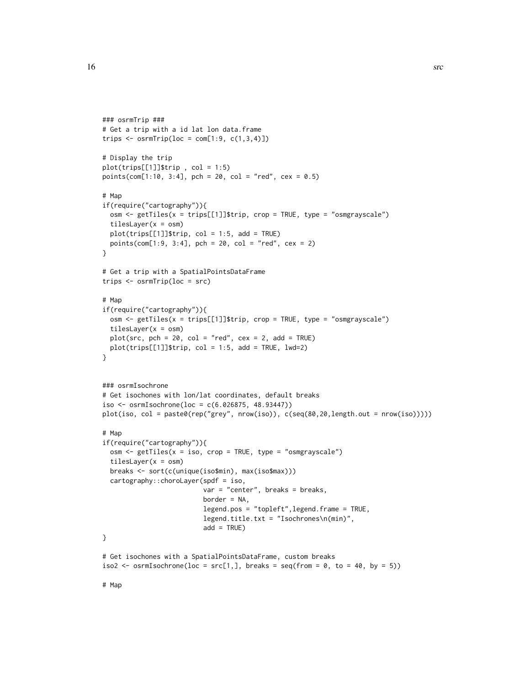```
### osrmTrip ###
# Get a trip with a id lat lon data.frame
trips \leq osrmTrip(loc = com[1:9, c(1,3,4)])
# Display the trip
plot(trips[[1]]$trip, col = 1:5)points(com[1:10, 3:4], pch = 20, col = "red", cex = 0.5)# Map
if(require("cartography")){
  osm <- getTiles(x = trips[[1]]$trip, crop = TRUE, type = "osmgrayscale")
  tilesLayer(x = osm)
  plot(trips[[1]]$trip, col = 1:5, add = TRUE)
  points(com[1:9, 3:4], pch = 20, col = "red", cex = 2)
}
# Get a trip with a SpatialPointsDataFrame
trips <- osrmTrip(loc = src)
# Map
if(require("cartography")){
  osm <- getTiles(x = trips[[1]]$trip, crop = TRUE, type = "osmgrayscale")
  tilesLayer(x = osm)
  plot(src, pch = 20, col = "red", cex = 2, add = TRUE)plot(trips[[1]]$trip, col = 1:5, add = TRUE, lwd=2)
}
### osrmIsochrone
# Get isochones with lon/lat coordinates, default breaks
iso <- osrmIsochrone(loc = c(6.026875, 48.93447))
plot(iso, col = paste0(rep("grey", nrow(iso)), c(seq(80,20,length.out = nrow(iso)))))
# Man
if(require("cartography")){
  osm <- getTiles(x = iso, crop = TRUE, type = "osmgrayscale")
  tilesLayer(x = osm)
  breaks <- sort(c(unique(iso$min), max(iso$max)))
  cartography::choroLayer(spdf = iso,
                          var = "center", breaks = breaks,
                          border = NA,
                          legend.pos = "topleft",legend.frame = TRUE,
                          legend.title.txt = "Isochrones\n(min)",
                          add = TRUE)
}
# Get isochones with a SpatialPointsDataFrame, custom breaks
iso2 <- osrmIsochrone(loc = src[1,], breaks = seq(from = 0, to = 40, by = 5))
```
# Map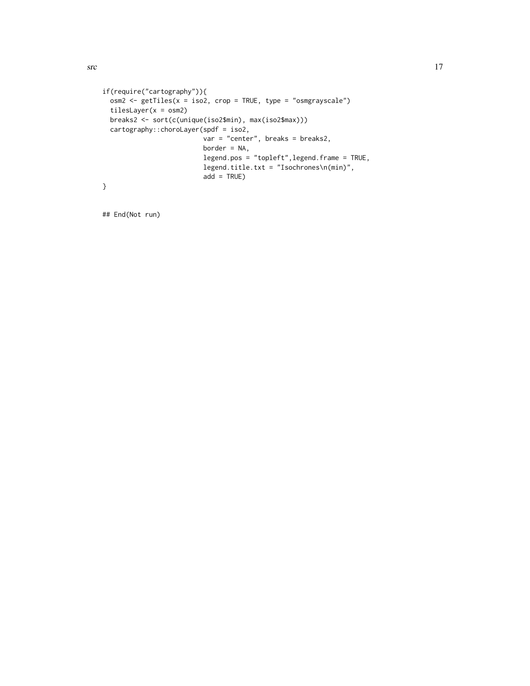```
if(require("cartography")){
  osm2 <- getTiles(x = iso2, crop = TRUE, type = "osmgrayscale")
  tilesLayer(x = osm2)
  breaks2 <- sort(c(unique(iso2$min), max(iso2$max)))
  cartography::choroLayer(spdf = iso2,
                         var = "center", breaks = breaks2,border = NA,
                          legend.pos = "topleft",legend.frame = TRUE,
                          legend.title.txt = "Isochrones\n(min)",
                          add = TRUE)
}
```

```
## End(Not run)
```